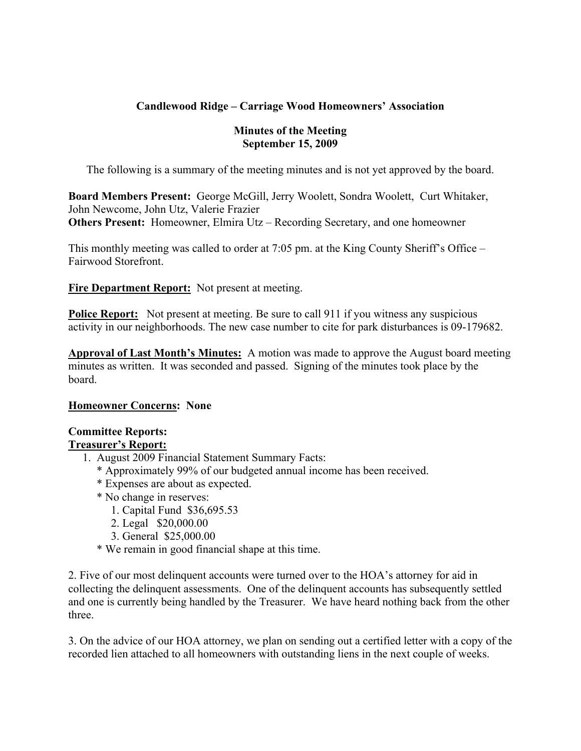# **Candlewood Ridge – Carriage Wood Homeowners' Association**

### **Minutes of the Meeting September 15, 2009**

The following is a summary of the meeting minutes and is not yet approved by the board.

**Board Members Present:** George McGill, Jerry Woolett, Sondra Woolett, Curt Whitaker, John Newcome, John Utz, Valerie Frazier **Others Present:** Homeowner, Elmira Utz – Recording Secretary, and one homeowner

This monthly meeting was called to order at 7:05 pm. at the King County Sheriff's Office – Fairwood Storefront.

**Fire Department Report:** Not present at meeting.

**Police Report:** Not present at meeting. Be sure to call 911 if you witness any suspicious activity in our neighborhoods. The new case number to cite for park disturbances is 09-179682.

**Approval of Last Month's Minutes:** A motion was made to approve the August board meeting minutes as written. It was seconded and passed. Signing of the minutes took place by the board.

#### **Homeowner Concerns: None**

#### **Committee Reports: Treasurer's Report:**

- 1. August 2009 Financial Statement Summary Facts:
	- \* Approximately 99% of our budgeted annual income has been received.
	- \* Expenses are about as expected.
	- \* No change in reserves:
		- 1. Capital Fund \$36,695.53
		- 2. Legal \$20,000.00
		- 3. General \$25,000.00
	- \* We remain in good financial shape at this time.

2. Five of our most delinquent accounts were turned over to the HOA's attorney for aid in collecting the delinquent assessments. One of the delinquent accounts has subsequently settled and one is currently being handled by the Treasurer. We have heard nothing back from the other three.

3. On the advice of our HOA attorney, we plan on sending out a certified letter with a copy of the recorded lien attached to all homeowners with outstanding liens in the next couple of weeks.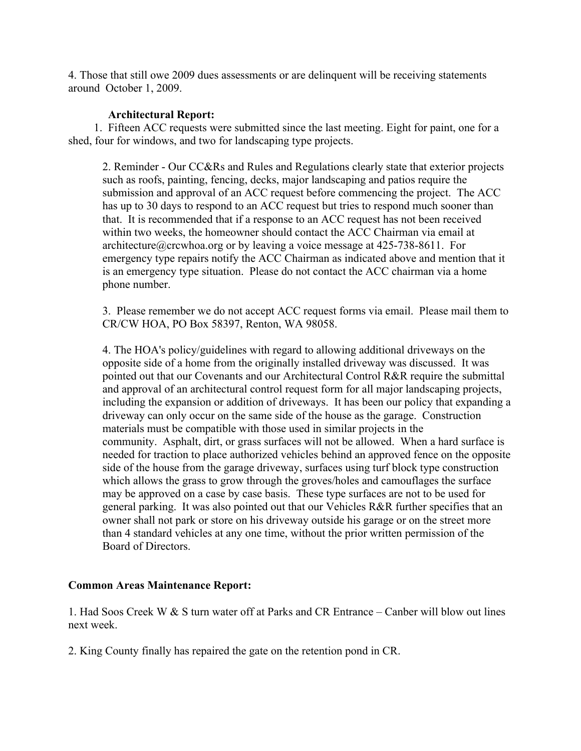4. Those that still owe 2009 dues assessments or are delinquent will be receiving statements around October 1, 2009.

#### **Architectural Report:**

 1. Fifteen ACC requests were submitted since the last meeting. Eight for paint, one for a shed, four for windows, and two for landscaping type projects.

2. Reminder - Our CC&Rs and Rules and Regulations clearly state that exterior projects such as roofs, painting, fencing, decks, major landscaping and patios require the submission and approval of an ACC request before commencing the project. The ACC has up to 30 days to respond to an ACC request but tries to respond much sooner than that. It is recommended that if a response to an ACC request has not been received within two weeks, the homeowner should contact the ACC Chairman via email at architecture@crcwhoa.org or by leaving a voice message at 425-738-8611. For emergency type repairs notify the ACC Chairman as indicated above and mention that it is an emergency type situation. Please do not contact the ACC chairman via a home phone number.

3. Please remember we do not accept ACC request forms via email. Please mail them to CR/CW HOA, PO Box 58397, Renton, WA 98058.

4. The HOA's policy/guidelines with regard to allowing additional driveways on the opposite side of a home from the originally installed driveway was discussed. It was pointed out that our Covenants and our Architectural Control R&R require the submittal and approval of an architectural control request form for all major landscaping projects, including the expansion or addition of driveways. It has been our policy that expanding a driveway can only occur on the same side of the house as the garage. Construction materials must be compatible with those used in similar projects in the community. Asphalt, dirt, or grass surfaces will not be allowed. When a hard surface is needed for traction to place authorized vehicles behind an approved fence on the opposite side of the house from the garage driveway, surfaces using turf block type construction which allows the grass to grow through the groves/holes and camouflages the surface may be approved on a case by case basis. These type surfaces are not to be used for general parking. It was also pointed out that our Vehicles R&R further specifies that an owner shall not park or store on his driveway outside his garage or on the street more than 4 standard vehicles at any one time, without the prior written permission of the Board of Directors.

#### **Common Areas Maintenance Report:**

1. Had Soos Creek W & S turn water off at Parks and CR Entrance – Canber will blow out lines next week.

2. King County finally has repaired the gate on the retention pond in CR.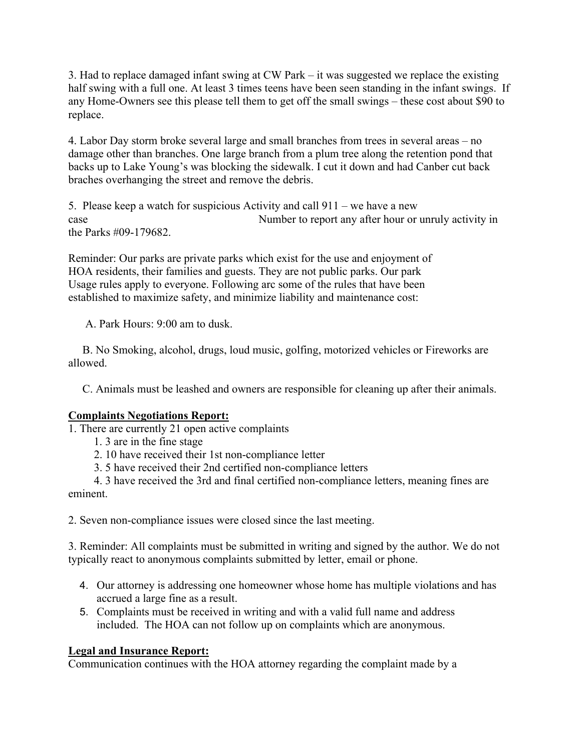3. Had to replace damaged infant swing at CW Park – it was suggested we replace the existing half swing with a full one. At least 3 times teens have been seen standing in the infant swings. If any Home-Owners see this please tell them to get off the small swings – these cost about \$90 to replace.

4. Labor Day storm broke several large and small branches from trees in several areas – no damage other than branches. One large branch from a plum tree along the retention pond that backs up to Lake Young's was blocking the sidewalk. I cut it down and had Canber cut back braches overhanging the street and remove the debris.

5. Please keep a watch for suspicious Activity and call 911 – we have a new case Number to report any after hour or unruly activity in the Parks #09-179682.

Reminder: Our parks are private parks which exist for the use and enjoyment of HOA residents, their families and guests. They are not public parks. Our park Usage rules apply to everyone. Following arc some of the rules that have been established to maximize safety, and minimize liability and maintenance cost:

A. Park Hours: 9:00 am to dusk.

 B. No Smoking, alcohol, drugs, loud music, golfing, motorized vehicles or Fireworks are allowed.

C. Animals must be leashed and owners are responsible for cleaning up after their animals.

# **Complaints Negotiations Report:**

1. There are currently 21 open active complaints

- 1. 3 are in the fine stage
- 2. 10 have received their 1st non-compliance letter
- 3. 5 have received their 2nd certified non-compliance letters

 4. 3 have received the 3rd and final certified non-compliance letters, meaning fines are eminent.

2. Seven non-compliance issues were closed since the last meeting.

3. Reminder: All complaints must be submitted in writing and signed by the author. We do not typically react to anonymous complaints submitted by letter, email or phone.

- 4. Our attorney is addressing one homeowner whose home has multiple violations and has accrued a large fine as a result.
- 5. Complaints must be received in writing and with a valid full name and address included. The HOA can not follow up on complaints which are anonymous.

## **Legal and Insurance Report:**

Communication continues with the HOA attorney regarding the complaint made by a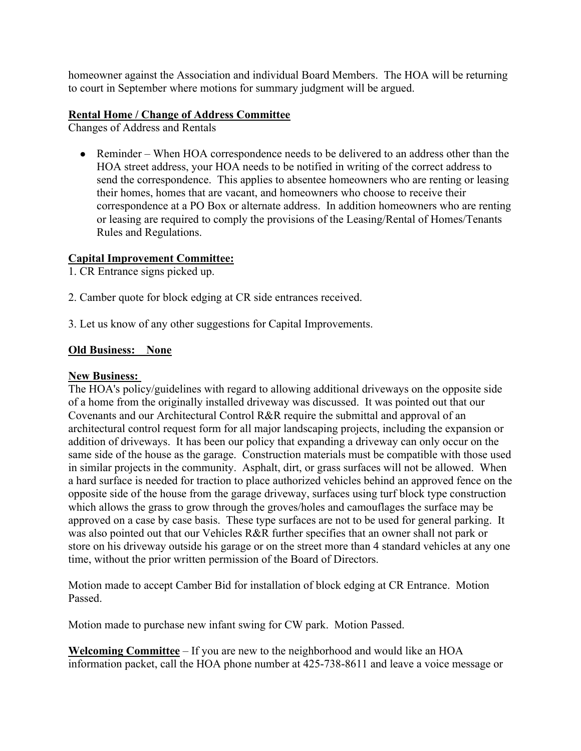homeowner against the Association and individual Board Members. The HOA will be returning to court in September where motions for summary judgment will be argued.

### **Rental Home / Change of Address Committee**

Changes of Address and Rentals

• Reminder – When HOA correspondence needs to be delivered to an address other than the HOA street address, your HOA needs to be notified in writing of the correct address to send the correspondence. This applies to absentee homeowners who are renting or leasing their homes, homes that are vacant, and homeowners who choose to receive their correspondence at a PO Box or alternate address. In addition homeowners who are renting or leasing are required to comply the provisions of the Leasing/Rental of Homes/Tenants Rules and Regulations.

## **Capital Improvement Committee:**

1. CR Entrance signs picked up.

- 2. Camber quote for block edging at CR side entrances received.
- 3. Let us know of any other suggestions for Capital Improvements.

### **Old Business: None**

#### **New Business:**

The HOA's policy/guidelines with regard to allowing additional driveways on the opposite side of a home from the originally installed driveway was discussed. It was pointed out that our Covenants and our Architectural Control R&R require the submittal and approval of an architectural control request form for all major landscaping projects, including the expansion or addition of driveways. It has been our policy that expanding a driveway can only occur on the same side of the house as the garage. Construction materials must be compatible with those used in similar projects in the community. Asphalt, dirt, or grass surfaces will not be allowed. When a hard surface is needed for traction to place authorized vehicles behind an approved fence on the opposite side of the house from the garage driveway, surfaces using turf block type construction which allows the grass to grow through the groves/holes and camouflages the surface may be approved on a case by case basis. These type surfaces are not to be used for general parking. It was also pointed out that our Vehicles R&R further specifies that an owner shall not park or store on his driveway outside his garage or on the street more than 4 standard vehicles at any one time, without the prior written permission of the Board of Directors.

Motion made to accept Camber Bid for installation of block edging at CR Entrance. Motion Passed.

Motion made to purchase new infant swing for CW park. Motion Passed.

**Welcoming Committee** – If you are new to the neighborhood and would like an HOA information packet, call the HOA phone number at 425-738-8611 and leave a voice message or